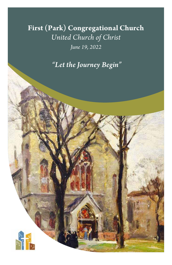**First (Park) Congregational Church** *United Church of Christ*

*June 19, 2022*

 *"Let the Journey Begin"*

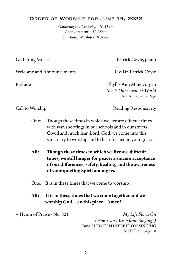#### Order of Worship for June 19, 2022

*Gathering and Centering - 10:15am Announcements - 10:25am Sanctuary Worship - 10:30am*

Gathering Music **Patrick Coyle, piano** 

Welcome and Announcements Rev. Dr. Patrick Coyle

Prelude Phyllis Ann Miner, organ *This Is Our Creator's World* Arr. Anna Laura Page

Call to Worship **Reading Responsively** 

- One: Though these times in which we live are difficult times with war, shootings in our schools and in our streets, Covid and much fear. Lord, God, we come into this sanctuary to worship and to be refreshed in your grace.
- **All: Though these times in which we live are difficult times, we still hunger for peace; a sincere acceptance of our differences, safety, healing, and the awareness of your quieting Spirit among us.**
- One: It is in these times that we come to worship.

#### **All: It is in these times that we come together and we worship God …in this place. Amen!**

+ Hymn of Praise - No. 821 *My Life Flows On (How Can I Keep from Singing?)*  Tune: HOW CAN I KEEP FROM SINGING See bulletin page 10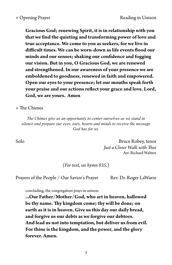**Gracious God; renewing Spirit, it is in relationship with you that we find the quieting and transforming power of love and true acceptance. We come to you as seekers, for we live in difficult times. We can be worn-down as life events flood our minds and our senses; shaking our confidence and fogging our vision. But in you, O Gracious God, we are renewed and strengthened. In our awareness of your presence we are emboldened to goodness, renewed in faith and empowered. Open our eyes to your presence; let our mouths speak forth your praise and our actions reflect your grace and love. Lord, God, we are yours. Amen**

#### + The Chimes

*The Chimes give us an opportunity to center ourselves as we stand in silence and prepare our eyes, ears, hearts and minds to receive the message God has for us.*

Solo Bruce Robey, tenor *Just a Closer Walk with Thee* Arr. Richard Walters

*(For text, see hymn 835*.)

Prayers of the People / Our Savior's Prayer Rev. Dr. Roger LaWarre

concluding, the congregation prays in unison:

**...Our Father/Mother/God, who art in heaven, hallowed be thy name. Thy kingdom come; thy will be done; on earth as it is in heaven. Give us this day our daily bread, and forgive us our debts as we forgive our debtors. And lead us not into temptation, but deliver us from evil. For thine is the kingdom, and the power, and the glory forever. Amen.**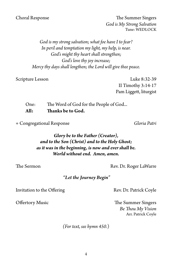Choral Response The Summer Singers *God is My Strong Salvation* Tune: WEDLOCK

> *God is my strong salvation; what foe have I to fear? In peril and temptation my light, my help, is near. God's might thy heart shall strengthen; God's love thy joy increase; Mercy thy days shall lengthen; the Lord will give thee peace.*

Scripture Lesson Luke 8:32-39 II Timothy 3:14-17 Pam Liggett, liturgist

One: The Word of God for the People of God... **All: Thanks be to God.**

+ Congregational Response *Gloria Patri*

*Glory be to the Father (Creator), and to the Son (Christ) and to the Holy Ghost; as it was in the beginning, is now and ever shall be. World without end. Amen, amen.*

The Sermon Rev. Dr. Roger LaWarre

#### *"Let the Journey Begin"*

Invitation to the Offering Rev. Dr. Patrick Coyle

Offertory Music The Summer Singers *Be Thou My Vision* Arr. Patrick Coyle

*(For text, see hymn 450*.)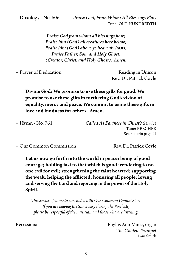+ Doxology - No. 606 *Praise God, From Whom All Blessings Flow* Tune: OLD HUNDREDTH

> *Praise God from whom all blessings flow; Praise him (God) all creatures here below; Praise him (God) above ye heavenly hosts; Praise Father, Son, and Holy Ghost. (Creator, Christ, and Holy Ghost). Amen.*

+ Prayer of Dedication Reading in Unison

Rev. Dr. Patrick Coyle

# **Divine God: We promise to use these gifts for good. We promise to use these gifts in furthering God's vision of equality, mercy and peace. We commit to using these gifts in love and kindness for others. Amen.**

| Called As Partners in Christ's Service |
|----------------------------------------|
| Tune: BEECHER                          |
| See bulletin page 11                   |
|                                        |

**+** Our Common Commission Rev. Dr. Patrick Coyle

**Let us now go forth into the world in peace; being of good courage; holding fast to that which is good; rendering to no one evil for evil; strengthening the faint hearted; supporting the weak; helping the afflicted; honoring all people; loving and serving the Lord and rejoicing in the power of the Holy Spirit.** 

*The service of worship concludes with Our Common Commission. If you are leaving the Sanctuary during the Postlude, please be respectful of the musician and those who are listening.*

Recessional **Phyllis Ann Miner, organ** *The Golden Trumpet* Lani Smith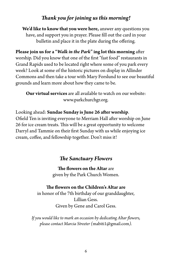# *Thank you for joining us this morning!*

**We'd like to know that you were here,** answer any questions you have, and support you in prayer. Please fill out the card in your bulletin and place it in the plate during the offering.

**Please join us for a "***Walk in the Park***" ing lot this morning** after worship. Did you know that one of the first "fast food" restaurants in Grand Rapids used to be located right where some of you park every week? Look at some of the historic pictures on display in Allinder Commons and then take a tour with Mary Forslund to see our beautiful grounds and learn more about how they came to be.

**Our virtual services** are all available to watch on our website: www.parkchurchgr.org.

Looking ahead: **Sundae Sunday is June 26 after worship**. Ofield Ten is inviting everyone to Merriam Hall after worship on June 26 for ice cream treats. This will be a great opportunity to welcome Darryl and Tammie on their first Sunday with us while enjoying ice cream, coffee, and fellowship together. Don't miss it!

## *The Sanctuary Flowers*

**The flowers on the Altar** are given by the Park Church Women.

#### **The flowers on the Children's Altar are**

in honor of the 7th birthday of our granddaughter, Lillian Gess. Given by Gene and Carol Gess.

*If you would like to mark an occasion by dedicating Altar flowers, please contact Marcia Streeter (*mabiti1@gmail.com*).*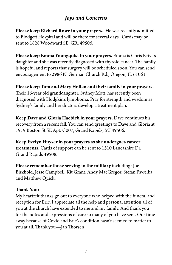# *Joys and Concerns*

**Please keep Richard Rowe in your prayers.** He was recently admitted to Blodgett Hospital and will be there for several days. Cards may be sent to 1828 Woodward SE, GR, 49506.

**Please keep Emma Youngquist in your prayers.** Emma is Chris Krive's daughter and she was recently diagnosed with thyroid cancer. The family is hopeful and reports that surgery will be scheduled soon. You can send encouragement to 2986 N. German Church Rd., Oregon, IL 61061.

**Please keep Tom and Mary Hollen and their family in your prayers.**  Their 16-year old granddaughter, Sydney Mott, has recently been diagnosed with Hodgkin's lymphoma. Pray for strength and wisdom as Sydney's family and her doctors develop a treatment plan.

**Keep Dave and Gloria Haebich in your prayers.** Dave continues his recovery from a recent fall. You can send greetings to Dave and Gloria at 1919 Boston St SE Apt. C007, Grand Rapids, MI 49506.

**Keep Evelyn Huyser in your prayers as she undergoes cancer treatments.** Cards of support can be sent to 1510 Lancashire Dr. Grand Rapids 49508.

**Please remember those serving in the military** including: Joe Birkhold, Jesse Campbell, Kit Grant, Andy MacGregor, Stefan Pawelka, and Matthew Quick.

### **Thank You:**

My heartfelt thanks go out to everyone who helped with the funeral and reception for Eric. I appreciate all the help and personal attention all of you at the church have extended to me and my family. And thank you for the notes and expressions of care so many of you have sent. Our time away because of Covid and Eric's condition hasn't seemed to matter to you at all. Thank you—Jan Thorsen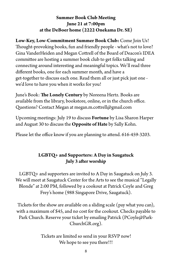## **Summer Book Club Meeting June 21 at 7:00pm at the DeBoer home (2222 Onekama Dr. SE)**

**Low-Key, Low-Commitment Summer Book Club:** Come Join Us! Thought-provoking books, fun and friendly people - what's not to love? Gina VanderHeiden and Megan Cottrell of the Board of Deacon's IDEA committee are hosting a summer book club to get folks talking and connecting around interesting and meaningful topics. We'll read three different books, one for each summer month, and have a get-together to discuss each one. Read them all or just pick just one we'd love to have you when it works for you!

June's Book: **The Lonely Century** by Noreena Hertz. Books are available from the library, bookstore, online, or in the church office. Questions? Contact Megan at megan.m.cottrell@gmail.com

Upcoming meetings: July 19 to discuss **Fortune** by Lisa Sharon Harper and August 30 to discuss the **Opposite of Hate** by Sally Kohn.

Please let the office know if you are planning to attend. 616-459-3203.

## **LGBTQ+ and Supporters: A Day in Saugatuck July 3 after worship**

LGBTQ+ and supporters are invited to A Day in Saugatuck on July 3. We will meet at Saugatuck Center for the Arts to see the musical "Legally Blonde" at 2:00 PM, followed by a cookout at Patrick Coyle and Greg Frey's home (988 Singapore Drive, Saugatuck).

Tickets for the show are available on a sliding scale (pay what you can), with a maximum of \$45, and no cost for the cookout. Checks payable to Park Church. Reserve your ticket by emailing Patrick (PCoyle@Park-ChurchGR.org).

> Tickets are limited so send in your RSVP now! We hope to see you there!!!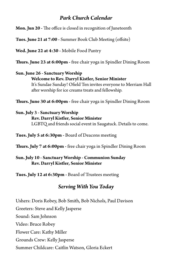## *Park Church Calendar*

**Mon. Jun 20 -** The office is closed in recognition of Juneteenth

**Tues. June 21 at 7:00 -** Summer Book Club Meeting (offsite)

**Wed. June 22 at 4:30 -** Mobile Food Pantry

**Thurs. June 23 at 6:00pm -** free chair yoga in Spindler Dining Room

## **Sun. June 26 - Sanctuary Worship Welcome to Rev. Darryl Kistler, Senior Minister** It's Sundae Sunday! Ofield Ten invites everyone to Merriam Hall after worship for ice creams treats and fellowship.

**Thurs. June 30 at 6:00pm -** free chair yoga in Spindler Dining Room

#### **Sun. July 3 - Sanctuary Worship**

## **Rev. Darryl Kistler, Senior Minister**

LGBTQ and friends social event in Saugatuck. Details to come.

**Tues. July 5 at 6:30pm -** Board of Deacons meeting

**Thurs. July 7 at 6:00pm -** free chair yoga in Spindler Dining Room

### **Sun. July 10 - Sanctuary Worship - Communion Sunday Rev. Darryl Kistler, Senior Minister**

**Tues. July 12 at 6:30pm -** Board of Trustees meeting

# *Serving With You Today*

Ushers: Doris Robey, Bob Smith, Bob Nichols, Paul Davison Greeters: Steve and Kelly Jasperse Sound: Sam Johnson Video: Bruce Robey Flower Care: Kathy Miller Grounds Crew: Kelly Jasperse Summer Childcare: Caitlin Watson, Gloria Eckert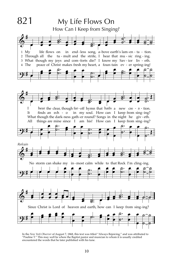

 $\mathcal{L} = \{ \mathcal{L} = \{ \mathcal{L} = \{ \mathcal{L} = \{ \mathcal{L} = \{ \mathcal{L} = \{ \mathcal{L} = \{ \mathcal{L} = \{ \mathcal{L} = \{ \mathcal{L} = \{ \mathcal{L} = \{ \mathcal{L} = \{ \mathcal{L} = \{ \mathcal{L} = \{ \mathcal{L} = \{ \mathcal{L} = \{ \mathcal{L} = \{ \mathcal{L} = \{ \mathcal{L} = \{ \mathcal{L} = \{ \mathcal{L} = \{ \mathcal{L} = \{ \mathcal{L} = \{ \mathcal{L} = \{ \mathcal{$ In the *New York Observer* of August 7, 1868, this text was titled "Always Rejoicing," and was attributed to "Pauline T." This may well be where the Baptist pastor and musician to whom it is usually credited encountered the words that he later published with his tune.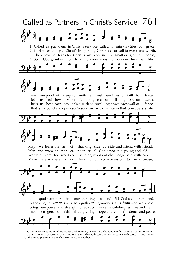

This hymn is a celebration of mutuality and diversity as well as a challenge to the Christian community to live out a ministry of reconciliation and inclusion. This 20th-century text is set to a 19th-century tune named for the noted pastor and preacher Henry Ward Beecher.